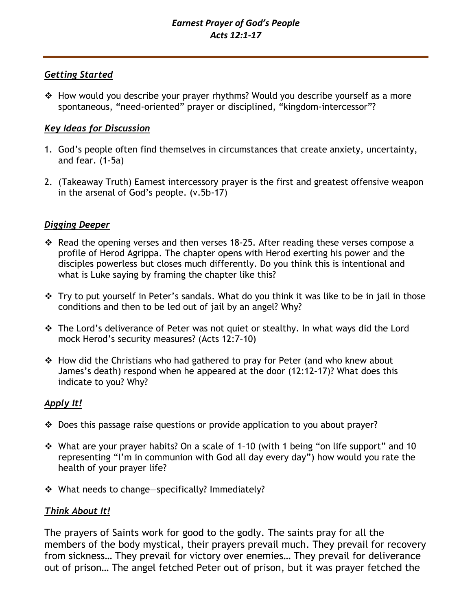## *Getting Started*

❖ How would you describe your prayer rhythms? Would you describe yourself as a more spontaneous, "need-oriented" prayer or disciplined, "kingdom-intercessor"?

# *Key Ideas for Discussion*

- 1. God's people often find themselves in circumstances that create anxiety, uncertainty, and fear. (1-5a)
- 2. (Takeaway Truth) Earnest intercessory prayer is the first and greatest offensive weapon in the arsenal of God's people. (v.5b-17)

# *Digging Deeper*

- ❖ Read the opening verses and then verses 18-25. After reading these verses compose a profile of Herod Agrippa. The chapter opens with Herod exerting his power and the disciples powerless but closes much differently. Do you think this is intentional and what is Luke saying by framing the chapter like this?
- ❖ Try to put yourself in Peter's sandals. What do you think it was like to be in jail in those conditions and then to be led out of jail by an angel? Why?
- ❖ The Lord's deliverance of Peter was not quiet or stealthy. In what ways did the Lord mock Herod's security measures? (Acts 12:7–10)
- ❖ How did the Christians who had gathered to pray for Peter (and who knew about James's death) respond when he appeared at the door (12:12–17)? What does this indicate to you? Why?

# *Apply It!*

- ❖ Does this passage raise questions or provide application to you about prayer?
- ❖ What are your prayer habits? On a scale of 1–10 (with 1 being "on life support" and 10 representing "I'm in communion with God all day every day") how would you rate the health of your prayer life?
- $\div$  What needs to change—specifically? Immediately?

# *Think About It!*

The prayers of Saints work for good to the godly. The saints pray for all the members of the body mystical, their prayers prevail much. They prevail for recovery from sickness… They prevail for victory over enemies… They prevail for deliverance out of prison… The angel fetched Peter out of prison, but it was prayer fetched the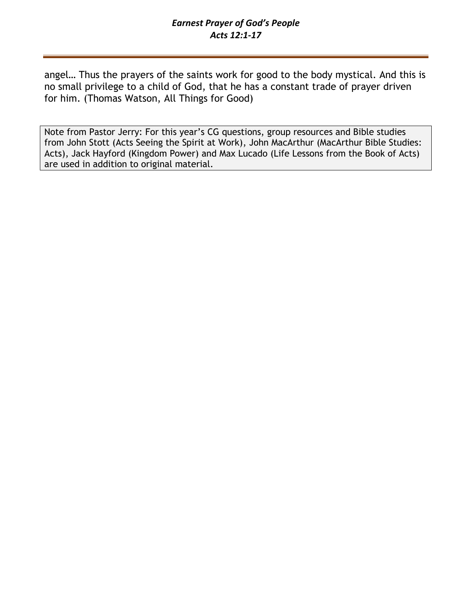## *Earnest Prayer of God's People Acts 12:1-17*

angel… Thus the prayers of the saints work for good to the body mystical. And this is no small privilege to a child of God, that he has a constant trade of prayer driven for him. (Thomas Watson, All Things for Good)

Note from Pastor Jerry: For this year's CG questions, group resources and Bible studies from John Stott (Acts Seeing the Spirit at Work), John MacArthur (MacArthur Bible Studies: Acts), Jack Hayford (Kingdom Power) and Max Lucado (Life Lessons from the Book of Acts) are used in addition to original material.